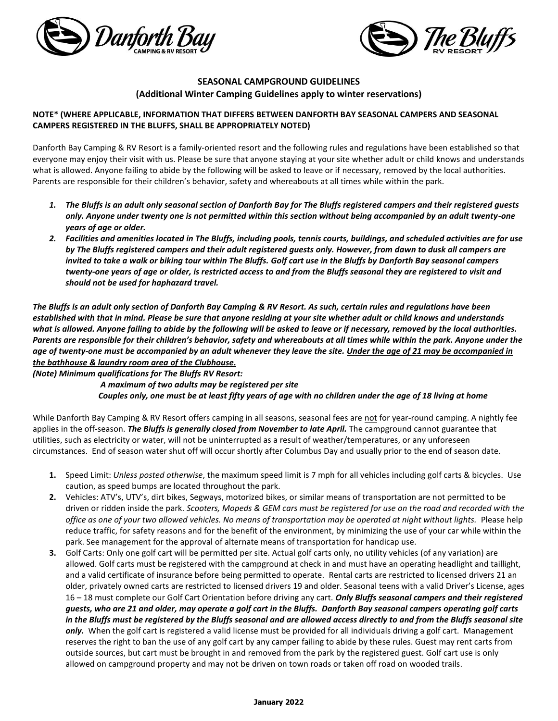



#### **SEASONAL CAMPGROUND GUIDELINES (Additional Winter Camping Guidelines apply to winter reservations)**

#### **NOTE\* (WHERE APPLICABLE, INFORMATION THAT DIFFERS BETWEEN DANFORTH BAY SEASONAL CAMPERS AND SEASONAL CAMPERS REGISTERED IN THE BLUFFS, SHALL BE APPROPRIATELY NOTED)**

Danforth Bay Camping & RV Resort is a family-oriented resort and the following rules and regulations have been established so that everyone may enjoy their visit with us. Please be sure that anyone staying at your site whether adult or child knows and understands what is allowed. Anyone failing to abide by the following will be asked to leave or if necessary, removed by the local authorities. Parents are responsible for their children's behavior, safety and whereabouts at all times while within the park.

- *1. The Bluffs is an adult only seasonal section of Danforth Bay for The Bluffs registered campers and their registered guests only. Anyone under twenty one is not permitted within this section without being accompanied by an adult twenty-one years of age or older.*
- *2. Facilities and amenities located in The Bluffs, including pools, tennis courts, buildings, and scheduled activities are for use by The Bluffs registered campers and their adult registered guests only. However, from dawn to dusk all campers are invited to take a walk or biking tour within The Bluffs. Golf cart use in the Bluffs by Danforth Bay seasonal campers twenty-one years of age or older, is restricted access to and from the Bluffs seasonal they are registered to visit and should not be used for haphazard travel.*

*The Bluffs is an adult only section of Danforth Bay Camping & RV Resort. As such, certain rules and regulations have been established with that in mind. Please be sure that anyone residing at your site whether adult or child knows and understands what is allowed. Anyone failing to abide by the following will be asked to leave or if necessary, removed by the local authorities. Parents are responsible for their children's behavior, safety and whereabouts at all times while within the park. Anyone under the age of twenty-one must be accompanied by an adult whenever they leave the site. Under the age of 21 may be accompanied in the bathhouse & laundry room area of the Clubhouse.*

*(Note) Minimum qualifications for The Bluffs RV Resort:*

*A maximum of two adults may be registered per site Couples only, one must be at least fifty years of age with no children under the age of 18 living at home*

While Danforth Bay Camping & RV Resort offers camping in all seasons, seasonal fees are not for year-round camping. A nightly fee applies in the off-season. *The Bluffs is generally closed from November to late April.* The campground cannot guarantee that utilities, such as electricity or water, will not be uninterrupted as a result of weather/temperatures, or any unforeseen circumstances. End of season water shut off will occur shortly after Columbus Day and usually prior to the end of season date.

- **1.** Speed Limit: *Unless posted otherwise*, the maximum speed limit is 7 mph for all vehicles including golf carts & bicycles. Use caution, as speed bumps are located throughout the park.
- **2.** Vehicles: ATV's, UTV's, dirt bikes, Segways, motorized bikes, or similar means of transportation are not permitted to be driven or ridden inside the park. *Scooters, Mopeds & GEM cars must be registered for use on the road and recorded with the office as one of your two allowed vehicles. No means of transportation may be operated at night without lights.* Please help reduce traffic, for safety reasons and for the benefit of the environment, by minimizing the use of your car while within the park. See management for the approval of alternate means of transportation for handicap use.
- **3.** Golf Carts: Only one golf cart will be permitted per site. Actual golf carts only, no utility vehicles (of any variation) are allowed. Golf carts must be registered with the campground at check in and must have an operating headlight and taillight, and a valid certificate of insurance before being permitted to operate. Rental carts are restricted to licensed drivers 21 an older, privately owned carts are restricted to licensed drivers 19 and older. Seasonal teens with a valid Driver's License, ages 16 – 18 must complete our Golf Cart Orientation before driving any cart. *Only Bluffs seasonal campers and their registered guests, who are 21 and older, may operate a golf cart in the Bluffs. Danforth Bay seasonal campers operating golf carts in the Bluffs must be registered by the Bluffs seasonal and are allowed access directly to and from the Bluffs seasonal site only.* When the golf cart is registered a valid license must be provided for all individuals driving a golf cart. Management reserves the right to ban the use of any golf cart by any camper failing to abide by these rules. Guest may rent carts from outside sources, but cart must be brought in and removed from the park by the registered guest. Golf cart use is only allowed on campground property and may not be driven on town roads or taken off road on wooded trails.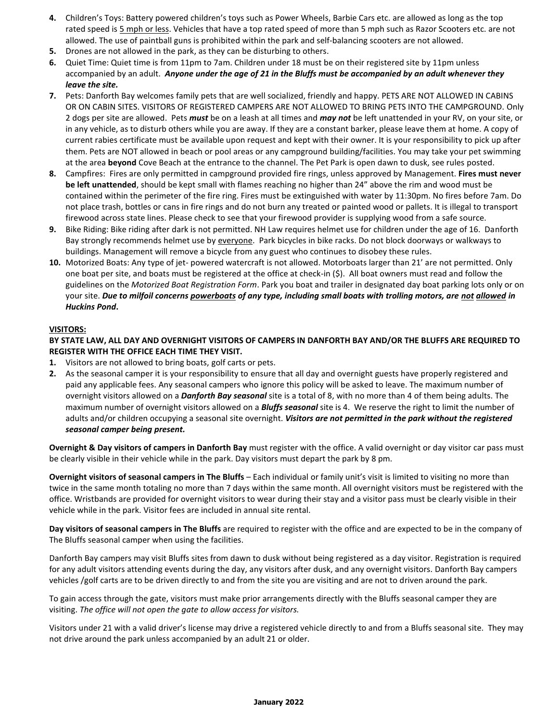- **4.** Children's Toys: Battery powered children's toys such as Power Wheels, Barbie Cars etc. are allowed as long as the top rated speed is 5 mph or less. Vehicles that have a top rated speed of more than 5 mph such as Razor Scooters etc. are not allowed. The use of paintball guns is prohibited within the park and self-balancing scooters are not allowed.
- **5.** Drones are not allowed in the park, as they can be disturbing to others.
- **6.** Quiet Time: Quiet time is from 11pm to 7am. Children under 18 must be on their registered site by 11pm unless accompanied by an adult. *Anyone under the age of 21 in the Bluffs must be accompanied by an adult whenever they leave the site.*
- **7.** Pets: Danforth Bay welcomes family pets that are well socialized, friendly and happy. PETS ARE NOT ALLOWED IN CABINS OR ON CABIN SITES. VISITORS OF REGISTERED CAMPERS ARE NOT ALLOWED TO BRING PETS INTO THE CAMPGROUND. Only 2 dogs per site are allowed. Pets *must* be on a leash at all times and *may not* be left unattended in your RV, on your site, or in any vehicle, as to disturb others while you are away. If they are a constant barker, please leave them at home. A copy of current rabies certificate must be available upon request and kept with their owner. It is your responsibility to pick up after them. Pets are NOT allowed in beach or pool areas or any campground building/facilities. You may take your pet swimming at the area **beyond** Cove Beach at the entrance to the channel. The Pet Park is open dawn to dusk, see rules posted.
- **8.** Campfires: Fires are only permitted in campground provided fire rings, unless approved by Management. **Fires must never be left unattended**, should be kept small with flames reaching no higher than 24" above the rim and wood must be contained within the perimeter of the fire ring. Fires must be extinguished with water by 11:30pm. No fires before 7am. Do not place trash, bottles or cans in fire rings and do not burn any treated or painted wood or pallets. It is illegal to transport firewood across state lines. Please check to see that your firewood provider is supplying wood from a safe source.
- **9.** Bike Riding: Bike riding after dark is not permitted. NH Law requires helmet use for children under the age of 16. Danforth Bay strongly recommends helmet use by everyone. Park bicycles in bike racks. Do not block doorways or walkways to buildings. Management will remove a bicycle from any guest who continues to disobey these rules.
- **10.** Motorized Boats: Any type of jet- powered watercraft is not allowed. Motorboats larger than 21' are not permitted. Only one boat per site, and boats must be registered at the office at check-in (\$). All boat owners must read and follow the guidelines on the *Motorized Boat Registration Form*. Park you boat and trailer in designated day boat parking lots only or on your site. *Due to milfoil concerns powerboats of any type, including small boats with trolling motors, are not allowed in Huckins Pond***.**

#### **VISITORS:**

**BY STATE LAW, ALL DAY AND OVERNIGHT VISITORS OF CAMPERS IN DANFORTH BAY AND/OR THE BLUFFS ARE REQUIRED TO REGISTER WITH THE OFFICE EACH TIME THEY VISIT.** 

- **1.** Visitors are not allowed to bring boats, golf carts or pets.
- **2.** As the seasonal camper it is your responsibility to ensure that all day and overnight guests have properly registered and paid any applicable fees. Any seasonal campers who ignore this policy will be asked to leave. The maximum number of overnight visitors allowed on a *Danforth Bay seasonal* site is a total of 8, with no more than 4 of them being adults. The maximum number of overnight visitors allowed on a *Bluffs seasonal* site is 4. We reserve the right to limit the number of adults and/or children occupying a seasonal site overnight. Visitors are not permitted in the park without the registered *seasonal camper being present.*

**Overnight & Day visitors of campers in Danforth Bay** must register with the office. A valid overnight or day visitor car pass must be clearly visible in their vehicle while in the park. Day visitors must depart the park by 8 pm.

**Overnight visitors of seasonal campers in The Bluffs** – Each individual or family unit's visit is limited to visiting no more than twice in the same month totaling no more than 7 days within the same month. All overnight visitors must be registered with the office. Wristbands are provided for overnight visitors to wear during their stay and a visitor pass must be clearly visible in their vehicle while in the park. Visitor fees are included in annual site rental.

**Day visitors of seasonal campers in The Bluffs** are required to register with the office and are expected to be in the company of The Bluffs seasonal camper when using the facilities.

Danforth Bay campers may visit Bluffs sites from dawn to dusk without being registered as a day visitor. Registration is required for any adult visitors attending events during the day, any visitors after dusk, and any overnight visitors. Danforth Bay campers vehicles /golf carts are to be driven directly to and from the site you are visiting and are not to driven around the park.

To gain access through the gate, visitors must make prior arrangements directly with the Bluffs seasonal camper they are visiting. *The office will not open the gate to allow access for visitors.* 

Visitors under 21 with a valid driver's license may drive a registered vehicle directly to and from a Bluffs seasonal site. They may not drive around the park unless accompanied by an adult 21 or older.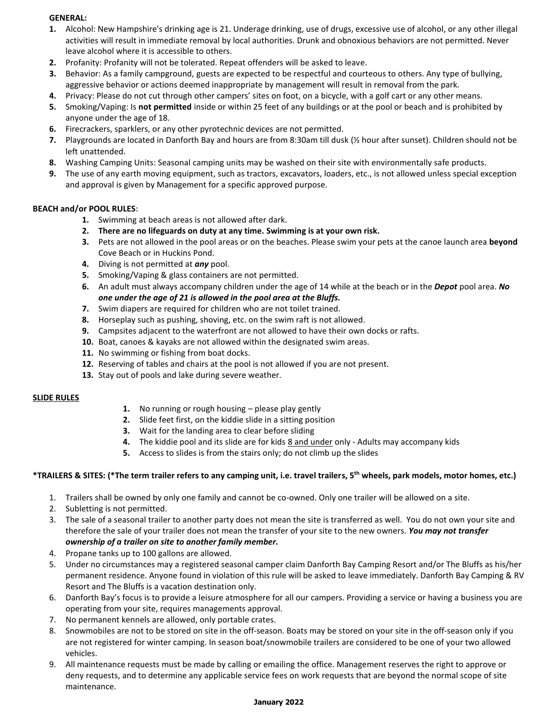#### **GENERAL:**

- **1.** Alcohol: New Hampshire's drinking age is 21. Underage drinking, use of drugs, excessive use of alcohol, or any other illegal activities will result in immediate removal by local authorities. Drunk and obnoxious behaviors are not permitted. Never leave alcohol where it is accessible to others.
- **2.** Profanity: Profanity will not be tolerated. Repeat offenders will be asked to leave.
- **3.** Behavior: As a family campground, guests are expected to be respectful and courteous to others. Any type of bullying, aggressive behavior or actions deemed inappropriate by management will result in removal from the park.
- **4.** Privacy: Please do not cut through other campers' sites on foot, on a bicycle, with a golf cart or any other means.
- **5.** Smoking/Vaping: Is **not permitted** inside or within 25 feet of any buildings or at the pool or beach and is prohibited by anyone under the age of 18.
- **6.** Firecrackers, sparklers, or any other pyrotechnic devices are not permitted.
- **7.** Playgrounds are located in Danforth Bay and hours are from 8:30am till dusk (½ hour after sunset). Children should not be left unattended.
- **8.** Washing Camping Units: Seasonal camping units may be washed on their site with environmentally safe products.
- **9.** The use of any earth moving equipment, such as tractors, excavators, loaders, etc., is not allowed unless special exception and approval is given by Management for a specific approved purpose.

#### **BEACH and/or POOL RULES:**

- **1.** Swimming at beach areas is not allowed after dark.
- **2. There are no lifeguards on duty at any time. Swimming is at your own risk.**
- **3.** Pets are not allowed in the pool areas or on the beaches. Please swim your pets at the canoe launch area **beyond** Cove Beach or in Huckins Pond.
- **4.** Diving is not permitted at *any* pool.
- **5.** Smoking/Vaping & glass containers are not permitted.
- **6.** An adult must always accompany children under the age of 14 while at the beach or in the *Depot* pool area. *No one under the age of 21 is allowed in the pool area at the Bluffs.*
- **7.** Swim diapers are required for children who are not toilet trained.
- **8.** Horseplay such as pushing, shoving, etc. on the swim raft is not allowed.
- **9.** Campsites adjacent to the waterfront are not allowed to have their own docks or rafts.
- **10.** Boat, canoes & kayaks are not allowed within the designated swim areas.
- **11.** No swimming or fishing from boat docks.
- **12.** Reserving of tables and chairs at the pool is not allowed if you are not present.
- **13.** Stay out of pools and lake during severe weather.

#### **SLIDE RULES**

- **1.** No running or rough housing please play gently
- **2.** Slide feet first, on the kiddie slide in a sitting position
- **3.** Wait for the landing area to clear before sliding
- **4.** The kiddie pool and its slide are for kids 8 and under only Adults may accompany kids
- **5.** Access to slides is from the stairs only; do not climb up the slides

#### **\*TRAILERS & SITES: (\*The term trailer refers to any camping unit, i.e. travel trailers, 5th wheels, park models, motor homes, etc.)**

- 1. Trailers shall be owned by only one family and cannot be co-owned. Only one trailer will be allowed on a site.
- 2. Subletting is not permitted.
- 3. The sale of a seasonal trailer to another party does not mean the site is transferred as well. You do not own your site and therefore the sale of your trailer does not mean the transfer of your site to the new owners. *You may not transfer ownership of a trailer on site to another family member.*
- 4. Propane tanks up to 100 gallons are allowed.
- 5. Under no circumstances may a registered seasonal camper claim Danforth Bay Camping Resort and/or The Bluffs as his/her permanent residence. Anyone found in violation of this rule will be asked to leave immediately. Danforth Bay Camping & RV Resort and The Bluffs is a vacation destination only.
- 6. Danforth Bay's focus is to provide a leisure atmosphere for all our campers. Providing a service or having a business you are operating from your site, requires managements approval.
- 7. No permanent kennels are allowed, only portable crates.
- 8. Snowmobiles are not to be stored on site in the off-season. Boats may be stored on your site in the off-season only if you are not registered for winter camping. In season boat/snowmobile trailers are considered to be one of your two allowed vehicles.
- 9. All maintenance requests must be made by calling or emailing the office. Management reserves the right to approve or deny requests, and to determine any applicable service fees on work requests that are beyond the normal scope of site maintenance.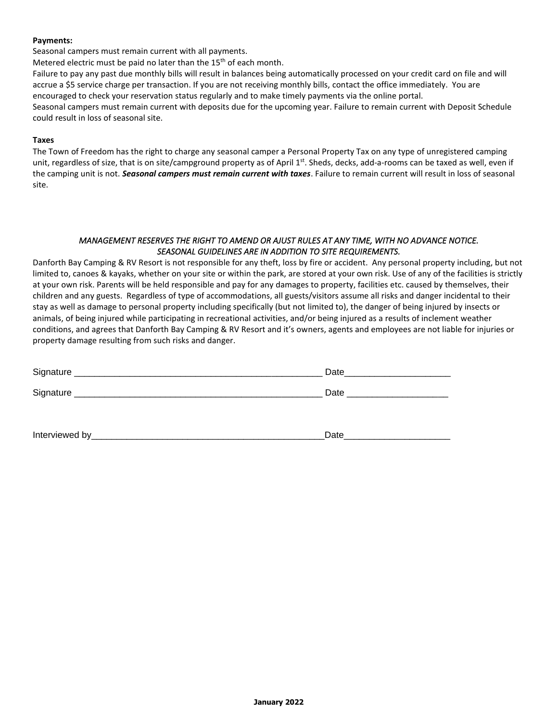#### **Payments:**

Seasonal campers must remain current with all payments.

Metered electric must be paid no later than the  $15<sup>th</sup>$  of each month.

Failure to pay any past due monthly bills will result in balances being automatically processed on your credit card on file and will accrue a \$5 service charge per transaction. If you are not receiving monthly bills, contact the office immediately. You are encouraged to check your reservation status regularly and to make timely payments via the online portal.

Seasonal campers must remain current with deposits due for the upcoming year. Failure to remain current with Deposit Schedule could result in loss of seasonal site.

#### **Taxes**

The Town of Freedom has the right to charge any seasonal camper a Personal Property Tax on any type of unregistered camping unit, regardless of size, that is on site/campground property as of April  $1<sup>st</sup>$ . Sheds, decks, add-a-rooms can be taxed as well, even if the camping unit is not. *Seasonal campers must remain current with taxes*. Failure to remain current will result in loss of seasonal site.

#### *MANAGEMENT RESERVES THE RIGHT TO AMEND OR AJUST RULES AT ANY TIME, WITH NO ADVANCE NOTICE. SEASONAL GUIDELINES ARE IN ADDITION TO SITE REQUIREMENTS.*

Danforth Bay Camping & RV Resort is not responsible for any theft, loss by fire or accident. Any personal property including, but not limited to, canoes & kayaks, whether on your site or within the park, are stored at your own risk. Use of any of the facilities is strictly at your own risk. Parents will be held responsible and pay for any damages to property, facilities etc. caused by themselves, their children and any guests. Regardless of type of accommodations, all guests/visitors assume all risks and danger incidental to their stay as well as damage to personal property including specifically (but not limited to), the danger of being injured by insects or animals, of being injured while participating in recreational activities, and/or being injured as a results of inclement weather conditions, and agrees that Danforth Bay Camping & RV Resort and it's owners, agents and employees are not liable for injuries or property damage resulting from such risks and danger.

|                 | Date |
|-----------------|------|
|                 | Date |
|                 |      |
| Interviewed by_ | Date |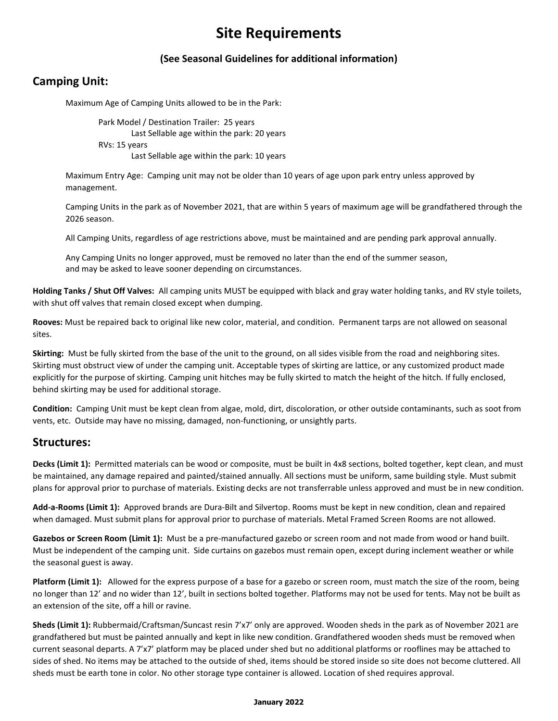# **Site Requirements**

### **(See Seasonal Guidelines for additional information)**

## **Camping Unit:**

Maximum Age of Camping Units allowed to be in the Park:

Park Model / Destination Trailer: 25 years Last Sellable age within the park: 20 years RVs: 15 years Last Sellable age within the park: 10 years

Maximum Entry Age: Camping unit may not be older than 10 years of age upon park entry unless approved by management.

Camping Units in the park as of November 2021, that are within 5 years of maximum age will be grandfathered through the 2026 season.

All Camping Units, regardless of age restrictions above, must be maintained and are pending park approval annually.

Any Camping Units no longer approved, must be removed no later than the end of the summer season, and may be asked to leave sooner depending on circumstances.

**Holding Tanks / Shut Off Valves:** All camping units MUST be equipped with black and gray water holding tanks, and RV style toilets, with shut off valves that remain closed except when dumping.

**Rooves:** Must be repaired back to original like new color, material, and condition. Permanent tarps are not allowed on seasonal sites.

**Skirting:** Must be fully skirted from the base of the unit to the ground, on all sides visible from the road and neighboring sites. Skirting must obstruct view of under the camping unit. Acceptable types of skirting are lattice, or any customized product made explicitly for the purpose of skirting. Camping unit hitches may be fully skirted to match the height of the hitch. If fully enclosed, behind skirting may be used for additional storage.

**Condition:** Camping Unit must be kept clean from algae, mold, dirt, discoloration, or other outside contaminants, such as soot from vents, etc. Outside may have no missing, damaged, non-functioning, or unsightly parts.

### **Structures:**

**Decks (Limit 1):** Permitted materials can be wood or composite, must be built in 4x8 sections, bolted together, kept clean, and must be maintained, any damage repaired and painted/stained annually. All sections must be uniform, same building style. Must submit plans for approval prior to purchase of materials. Existing decks are not transferrable unless approved and must be in new condition.

**Add-a-Rooms (Limit 1):** Approved brands are Dura-Bilt and Silvertop. Rooms must be kept in new condition, clean and repaired when damaged. Must submit plans for approval prior to purchase of materials. Metal Framed Screen Rooms are not allowed.

**Gazebos or Screen Room (Limit 1):** Must be a pre-manufactured gazebo or screen room and not made from wood or hand built. Must be independent of the camping unit. Side curtains on gazebos must remain open, except during inclement weather or while the seasonal guest is away.

**Platform (Limit 1):** Allowed for the express purpose of a base for a gazebo or screen room, must match the size of the room, being no longer than 12' and no wider than 12', built in sections bolted together. Platforms may not be used for tents. May not be built as an extension of the site, off a hill or ravine.

**Sheds (Limit 1):** Rubbermaid/Craftsman/Suncast resin 7'x7' only are approved. Wooden sheds in the park as of November 2021 are grandfathered but must be painted annually and kept in like new condition. Grandfathered wooden sheds must be removed when current seasonal departs. A 7'x7' platform may be placed under shed but no additional platforms or rooflines may be attached to sides of shed. No items may be attached to the outside of shed, items should be stored inside so site does not become cluttered. All sheds must be earth tone in color. No other storage type container is allowed. Location of shed requires approval.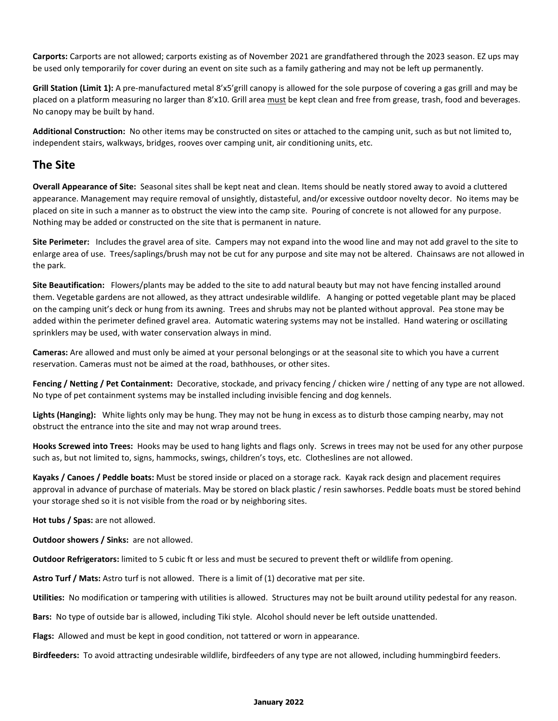**Carports:** Carports are not allowed; carports existing as of November 2021 are grandfathered through the 2023 season. EZ ups may be used only temporarily for cover during an event on site such as a family gathering and may not be left up permanently.

**Grill Station (Limit 1):** A pre-manufactured metal 8'x5'grill canopy is allowed for the sole purpose of covering a gas grill and may be placed on a platform measuring no larger than 8'x10. Grill area must be kept clean and free from grease, trash, food and beverages. No canopy may be built by hand.

**Additional Construction:** No other items may be constructed on sites or attached to the camping unit, such as but not limited to, independent stairs, walkways, bridges, rooves over camping unit, air conditioning units, etc.

### **The Site**

**Overall Appearance of Site:** Seasonal sites shall be kept neat and clean. Items should be neatly stored away to avoid a cluttered appearance. Management may require removal of unsightly, distasteful, and/or excessive outdoor novelty decor. No items may be placed on site in such a manner as to obstruct the view into the camp site. Pouring of concrete is not allowed for any purpose. Nothing may be added or constructed on the site that is permanent in nature.

**Site Perimeter:** Includes the gravel area of site. Campers may not expand into the wood line and may not add gravel to the site to enlarge area of use. Trees/saplings/brush may not be cut for any purpose and site may not be altered. Chainsaws are not allowed in the park.

**Site Beautification:** Flowers/plants may be added to the site to add natural beauty but may not have fencing installed around them. Vegetable gardens are not allowed, as they attract undesirable wildlife. A hanging or potted vegetable plant may be placed on the camping unit's deck or hung from its awning. Trees and shrubs may not be planted without approval. Pea stone may be added within the perimeter defined gravel area. Automatic watering systems may not be installed. Hand watering or oscillating sprinklers may be used, with water conservation always in mind.

**Cameras:** Are allowed and must only be aimed at your personal belongings or at the seasonal site to which you have a current reservation. Cameras must not be aimed at the road, bathhouses, or other sites.

**Fencing / Netting / Pet Containment:** Decorative, stockade, and privacy fencing / chicken wire / netting of any type are not allowed. No type of pet containment systems may be installed including invisible fencing and dog kennels.

**Lights (Hanging):** White lights only may be hung. They may not be hung in excess as to disturb those camping nearby, may not obstruct the entrance into the site and may not wrap around trees.

**Hooks Screwed into Trees:** Hooks may be used to hang lights and flags only. Screws in trees may not be used for any other purpose such as, but not limited to, signs, hammocks, swings, children's toys, etc. Clotheslines are not allowed.

**Kayaks / Canoes / Peddle boats:** Must be stored inside or placed on a storage rack. Kayak rack design and placement requires approval in advance of purchase of materials. May be stored on black plastic / resin sawhorses. Peddle boats must be stored behind your storage shed so it is not visible from the road or by neighboring sites.

**Hot tubs / Spas:** are not allowed.

**Outdoor showers / Sinks:** are not allowed.

**Outdoor Refrigerators:** limited to 5 cubic ft or less and must be secured to prevent theft or wildlife from opening.

**Astro Turf / Mats:** Astro turf is not allowed. There is a limit of (1) decorative mat per site.

**Utilities:** No modification or tampering with utilities is allowed. Structures may not be built around utility pedestal for any reason.

**Bars:** No type of outside bar is allowed, including Tiki style. Alcohol should never be left outside unattended.

**Flags:** Allowed and must be kept in good condition, not tattered or worn in appearance.

**Birdfeeders:** To avoid attracting undesirable wildlife, birdfeeders of any type are not allowed, including hummingbird feeders.